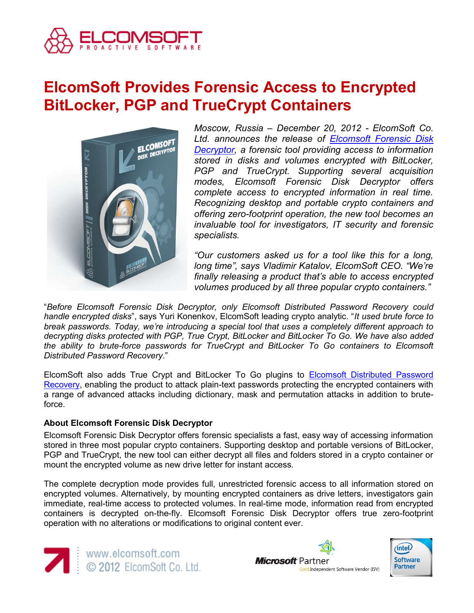

# **ElcomSoft Provides Forensic Access to Encrypted BitLocker, PGP and TrueCrypt Containers**



*Moscow, Russia – December 20, 2012 - ElcomSoft Co. Ltd. announces the release of [Elcomsoft Forensic Disk](http://www.elcomsoft.com/efdd.html)  [Decryptor,](http://www.elcomsoft.com/efdd.html) a forensic tool providing access to information stored in disks and volumes encrypted with BitLocker, PGP and TrueCrypt. Supporting several acquisition modes, Elcomsoft Forensic Disk Decryptor offers complete access to encrypted information in real time. Recognizing desktop and portable crypto containers and offering zero-footprint operation, the new tool becomes an invaluable tool for investigators, IT security and forensic specialists.*

*"Our customers asked us for a tool like this for a long, long time", says Vladimir Katalov, ElcomSoft CEO. "We're finally releasing a product that's able to access encrypted volumes produced by all three popular crypto containers."*

"*Before Elcomsoft Forensic Disk Decryptor, only Elcomsoft Distributed Password Recovery could handle encrypted disks*", says Yuri Konenkov, ElcomSoft leading crypto analytic. "*It used brute force to break passwords. Today, we're introducing a special tool that uses a completely different approach to decrypting disks protected with PGP, True Crypt, BitLocker and BitLocker To Go. We have also added the ability to brute-force passwords for TrueCrypt and BitLocker To Go containers to Elcomsoft Distributed Password Recovery*."

ElcomSoft also adds True Crypt and BitLocker To Go plugins to [Elcomsoft Distributed Password](http://www.elcomsoft.com/edpr.html)  [Recovery,](http://www.elcomsoft.com/edpr.html) enabling the product to attack plain-text passwords protecting the encrypted containers with a range of advanced attacks including dictionary, mask and permutation attacks in addition to bruteforce.

# **About Elcomsoft Forensic Disk Decryptor**

Elcomsoft Forensic Disk Decryptor offers forensic specialists a fast, easy way of accessing information stored in three most popular crypto containers. Supporting desktop and portable versions of BitLocker, PGP and TrueCrypt, the new tool can either decrypt all files and folders stored in a crypto container or mount the encrypted volume as new drive letter for instant access.

The complete decryption mode provides full, unrestricted forensic access to all information stored on encrypted volumes. Alternatively, by mounting encrypted containers as drive letters, investigators gain immediate, real-time access to protected volumes. In real-time mode, information read from encrypted containers is decrypted on-the-fly. Elcomsoft Forensic Disk Decryptor offers true zero-footprint operation with no alterations or modifications to original content ever.